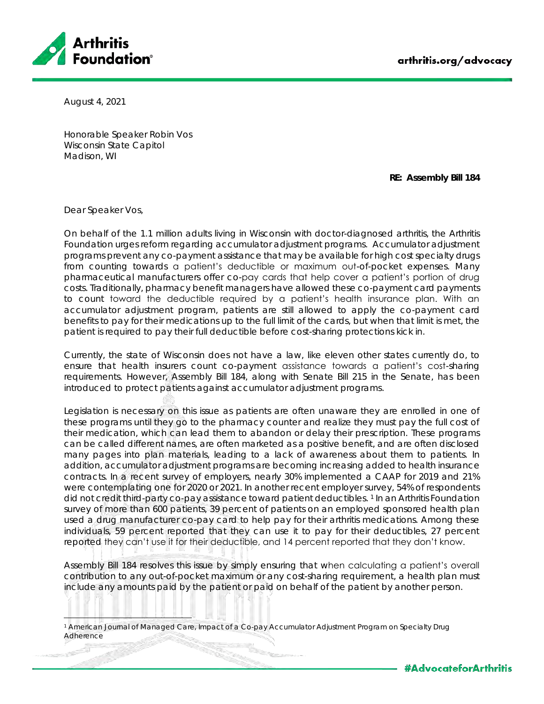

August 4, 2021

Honorable Speaker Robin Vos Wisconsin State Capitol Madison, WI

**RE: Assembly Bill 184**

Dear Speaker Vos,

On behalf of the 1.1 million adults living in Wisconsin with doctor-diagnosed arthritis, the Arthritis Foundation urges reform regarding accumulator adjustment programs. Accumulator adjustment programs prevent any co-payment assistance that may be available for high cost specialty drugs from counting towards a patient's deductible or maximum out-of-pocket expenses. Many pharmaceutical manufacturers offer co-pay cards that help cover a patient's portion of drug costs. Traditionally, pharmacy benefit managers have allowed these co-payment card payments to count toward the deductible required by a patient's health insurance plan. With an accumulator adjustment program, patients are still allowed to apply the co-payment card benefits to pay for their medications up to the full limit of the cards, but when that limit is met, the patient is required to pay their full deductible before cost-sharing protections kick in.

Currently, the state of Wisconsin does not have a law, like eleven other states currently do, to ensure that health insurers count co-payment assistance towards a patient's cost-sharing requirements. However, Assembly Bill 184, along with Senate Bill 215 in the Senate, has been introduced to protect patients against accumulator adjustment programs.

Legislation is necessary on this issue as patients are often unaware they are enrolled in one of these programs until they go to the pharmacy counter and realize they must pay the full cost of their medication, which can lead them to abandon or delay their prescription. These programs can be called different hames, are often marketed as a positive benefit, and are often disclosed many pages into plan materials, leading to a lack of awareness about them to patients. In addition, accumulator adjustment programs are becoming increasing added to health insurance contracts. In a recent survey of employers, nearly 30% implemented a CAAP for 2019 and 21% were contemplating one for 2020 or 2021. In another recent employer survey, 54% of respondents did not credit third-party co-pay assistance toward patient deductibles. <sup>1</sup> In an Arthritis Foundation survey of more than 600 patients, 39 percent of patients on an employed sponsored health plan used a drug manufacturer co-pay card to help pay for their arthritis medications. Among these individuals, 59 percent reported that they can use it to pay for their deductibles, 27 percent reported they can't use it for their deductible, and 14 percent reported that they don't know.

Assembly Bill 184 resolves this issue by simply ensuring that when calculating a patient's overall contribution to any out-of-pocket maximum or any cost-sharing requirement, a health plan must include any amounts paid by the patient or paid on behalf of the patient by another person.

American Journal of Managed Care, Impact of a Co-pay Accumulator Adjustment Program on Specialty Drug Adherence